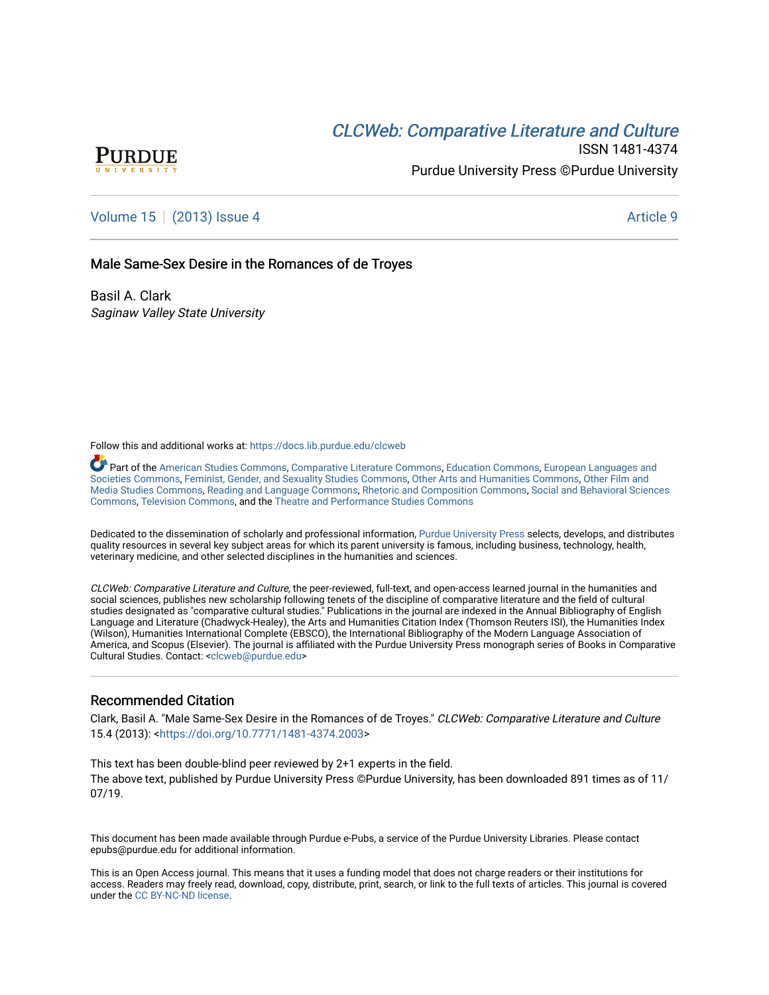# CLCW[eb: Comparative Liter](https://docs.lib.purdue.edu/clcweb)ature and Culture



ISSN 1481-4374 Purdue University Press ©Purdue University

## [Volume 15](https://docs.lib.purdue.edu/clcweb/vol15) | [\(2013\) Issue 4](https://docs.lib.purdue.edu/clcweb/vol15/iss4) Article 9

### Male Same-Sex Desire in the Romances of de Troyes

Basil A. Clark Saginaw Valley State University

Follow this and additional works at: [https://docs.lib.purdue.edu/clcweb](https://docs.lib.purdue.edu/clcweb?utm_source=docs.lib.purdue.edu%2Fclcweb%2Fvol15%2Fiss4%2F9&utm_medium=PDF&utm_campaign=PDFCoverPages)

Part of the [American Studies Commons](http://network.bepress.com/hgg/discipline/439?utm_source=docs.lib.purdue.edu%2Fclcweb%2Fvol15%2Fiss4%2F9&utm_medium=PDF&utm_campaign=PDFCoverPages), [Comparative Literature Commons,](http://network.bepress.com/hgg/discipline/454?utm_source=docs.lib.purdue.edu%2Fclcweb%2Fvol15%2Fiss4%2F9&utm_medium=PDF&utm_campaign=PDFCoverPages) [Education Commons,](http://network.bepress.com/hgg/discipline/784?utm_source=docs.lib.purdue.edu%2Fclcweb%2Fvol15%2Fiss4%2F9&utm_medium=PDF&utm_campaign=PDFCoverPages) [European Languages and](http://network.bepress.com/hgg/discipline/482?utm_source=docs.lib.purdue.edu%2Fclcweb%2Fvol15%2Fiss4%2F9&utm_medium=PDF&utm_campaign=PDFCoverPages) [Societies Commons](http://network.bepress.com/hgg/discipline/482?utm_source=docs.lib.purdue.edu%2Fclcweb%2Fvol15%2Fiss4%2F9&utm_medium=PDF&utm_campaign=PDFCoverPages), [Feminist, Gender, and Sexuality Studies Commons,](http://network.bepress.com/hgg/discipline/559?utm_source=docs.lib.purdue.edu%2Fclcweb%2Fvol15%2Fiss4%2F9&utm_medium=PDF&utm_campaign=PDFCoverPages) [Other Arts and Humanities Commons](http://network.bepress.com/hgg/discipline/577?utm_source=docs.lib.purdue.edu%2Fclcweb%2Fvol15%2Fiss4%2F9&utm_medium=PDF&utm_campaign=PDFCoverPages), [Other Film and](http://network.bepress.com/hgg/discipline/565?utm_source=docs.lib.purdue.edu%2Fclcweb%2Fvol15%2Fiss4%2F9&utm_medium=PDF&utm_campaign=PDFCoverPages)  [Media Studies Commons](http://network.bepress.com/hgg/discipline/565?utm_source=docs.lib.purdue.edu%2Fclcweb%2Fvol15%2Fiss4%2F9&utm_medium=PDF&utm_campaign=PDFCoverPages), [Reading and Language Commons](http://network.bepress.com/hgg/discipline/1037?utm_source=docs.lib.purdue.edu%2Fclcweb%2Fvol15%2Fiss4%2F9&utm_medium=PDF&utm_campaign=PDFCoverPages), [Rhetoric and Composition Commons,](http://network.bepress.com/hgg/discipline/573?utm_source=docs.lib.purdue.edu%2Fclcweb%2Fvol15%2Fiss4%2F9&utm_medium=PDF&utm_campaign=PDFCoverPages) [Social and Behavioral Sciences](http://network.bepress.com/hgg/discipline/316?utm_source=docs.lib.purdue.edu%2Fclcweb%2Fvol15%2Fiss4%2F9&utm_medium=PDF&utm_campaign=PDFCoverPages) [Commons,](http://network.bepress.com/hgg/discipline/316?utm_source=docs.lib.purdue.edu%2Fclcweb%2Fvol15%2Fiss4%2F9&utm_medium=PDF&utm_campaign=PDFCoverPages) [Television Commons,](http://network.bepress.com/hgg/discipline/1143?utm_source=docs.lib.purdue.edu%2Fclcweb%2Fvol15%2Fiss4%2F9&utm_medium=PDF&utm_campaign=PDFCoverPages) and the [Theatre and Performance Studies Commons](http://network.bepress.com/hgg/discipline/552?utm_source=docs.lib.purdue.edu%2Fclcweb%2Fvol15%2Fiss4%2F9&utm_medium=PDF&utm_campaign=PDFCoverPages)

Dedicated to the dissemination of scholarly and professional information, [Purdue University Press](http://www.thepress.purdue.edu/) selects, develops, and distributes quality resources in several key subject areas for which its parent university is famous, including business, technology, health, veterinary medicine, and other selected disciplines in the humanities and sciences.

CLCWeb: Comparative Literature and Culture, the peer-reviewed, full-text, and open-access learned journal in the humanities and social sciences, publishes new scholarship following tenets of the discipline of comparative literature and the field of cultural studies designated as "comparative cultural studies." Publications in the journal are indexed in the Annual Bibliography of English Language and Literature (Chadwyck-Healey), the Arts and Humanities Citation Index (Thomson Reuters ISI), the Humanities Index (Wilson), Humanities International Complete (EBSCO), the International Bibliography of the Modern Language Association of America, and Scopus (Elsevier). The journal is affiliated with the Purdue University Press monograph series of Books in Comparative Cultural Studies. Contact: [<clcweb@purdue.edu](mailto:clcweb@purdue.edu)>

### Recommended Citation

Clark, Basil A. "Male Same-Sex Desire in the Romances of de Troyes." CLCWeb: Comparative Literature and Culture 15.4 (2013): [<https://doi.org/10.7771/1481-4374.2003>](https://doi.org/10.7771/1481-4374.2003)

This text has been double-blind peer reviewed by 2+1 experts in the field. The above text, published by Purdue University Press ©Purdue University, has been downloaded 891 times as of 11/ 07/19.

This document has been made available through Purdue e-Pubs, a service of the Purdue University Libraries. Please contact epubs@purdue.edu for additional information.

This is an Open Access journal. This means that it uses a funding model that does not charge readers or their institutions for access. Readers may freely read, download, copy, distribute, print, search, or link to the full texts of articles. This journal is covered under the [CC BY-NC-ND license.](https://creativecommons.org/licenses/by-nc-nd/4.0/)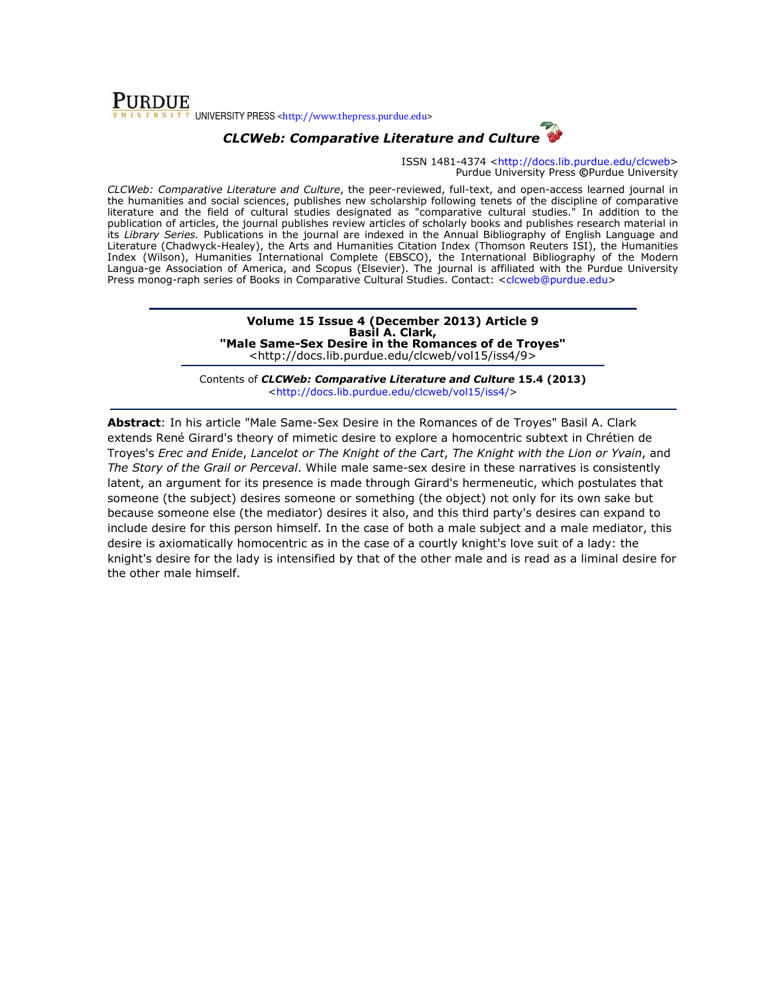

## CLCWeb: Comparative Literature and Culture

ISSN 1481-4374 <http://docs.lib.purdue.edu/clcweb> Purdue University Press ©Purdue University

CLCWeb: Comparative Literature and Culture, the peer-reviewed, full-text, and open-access learned journal in the humanities and social sciences, publishes new scholarship following tenets of the discipline of comparative literature and the field of cultural studies designated as "comparative cultural studies." In addition to the publication of articles, the journal publishes review articles of scholarly books and publishes research material in its Library Series. Publications in the journal are indexed in the Annual Bibliography of English Language and Literature (Chadwyck-Healey), the Arts and Humanities Citation Index (Thomson Reuters ISI), the Humanities Index (Wilson), Humanities International Complete (EBSCO), the International Bibliography of the Modern Langua-ge Association of America, and Scopus (Elsevier). The journal is affiliated with the Purdue University Press monog-raph series of Books in Comparative Cultural Studies. Contact: <clcweb@purdue.edu>

#### Volume 15 Issue 4 (December 2013) Article 9 Basil A. Clark, "Male Same-Sex Desire in the Romances of de Troyes" <http://docs.lib.purdue.edu/clcweb/vol15/iss4/9>

Contents of CLCWeb: Comparative Literature and Culture 15.4 (2013) <http://docs.lib.purdue.edu/clcweb/vol15/iss4/>

Abstract: In his article "Male Same-Sex Desire in the Romances of de Troyes" Basil A. Clark extends René Girard's theory of mimetic desire to explore a homocentric subtext in Chrétien de Troyes's Erec and Enide, Lancelot or The Knight of the Cart, The Knight with the Lion or Yvain, and The Story of the Grail or Perceval. While male same-sex desire in these narratives is consistently latent, an argument for its presence is made through Girard's hermeneutic, which postulates that someone (the subject) desires someone or something (the object) not only for its own sake but because someone else (the mediator) desires it also, and this third party's desires can expand to include desire for this person himself. In the case of both a male subject and a male mediator, this desire is axiomatically homocentric as in the case of a courtly knight's love suit of a lady: the knight's desire for the lady is intensified by that of the other male and is read as a liminal desire for the other male himself.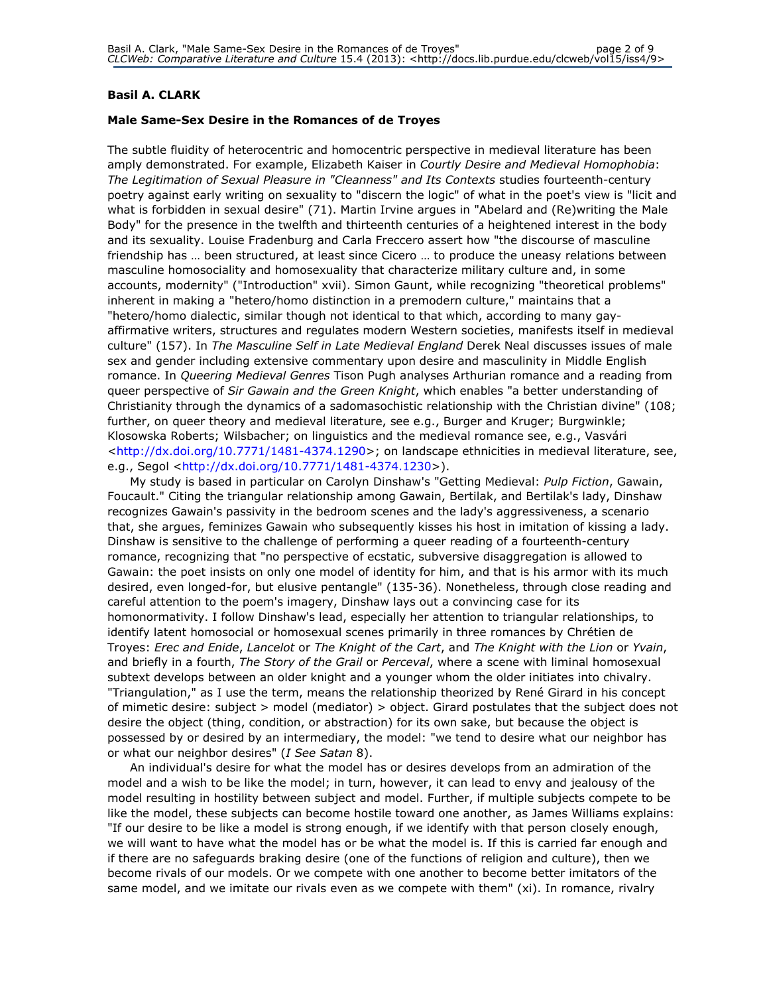### Basil A. CLARK

### Male Same-Sex Desire in the Romances of de Troyes

The subtle fluidity of heterocentric and homocentric perspective in medieval literature has been amply demonstrated. For example, Elizabeth Kaiser in Courtly Desire and Medieval Homophobia: The Legitimation of Sexual Pleasure in "Cleanness" and Its Contexts studies fourteenth-century poetry against early writing on sexuality to "discern the logic" of what in the poet's view is "licit and what is forbidden in sexual desire" (71). Martin Irvine argues in "Abelard and (Re)writing the Male Body" for the presence in the twelfth and thirteenth centuries of a heightened interest in the body and its sexuality. Louise Fradenburg and Carla Freccero assert how "the discourse of masculine friendship has … been structured, at least since Cicero … to produce the uneasy relations between masculine homosociality and homosexuality that characterize military culture and, in some accounts, modernity" ("Introduction" xvii). Simon Gaunt, while recognizing "theoretical problems" inherent in making a "hetero/homo distinction in a premodern culture," maintains that a "hetero/homo dialectic, similar though not identical to that which, according to many gayaffirmative writers, structures and regulates modern Western societies, manifests itself in medieval culture" (157). In The Masculine Self in Late Medieval England Derek Neal discusses issues of male sex and gender including extensive commentary upon desire and masculinity in Middle English romance. In Queering Medieval Genres Tison Pugh analyses Arthurian romance and a reading from queer perspective of Sir Gawain and the Green Knight, which enables "a better understanding of Christianity through the dynamics of a sadomasochistic relationship with the Christian divine" (108; further, on queer theory and medieval literature, see e.g., Burger and Kruger; Burgwinkle; Klosowska Roberts; Wilsbacher; on linguistics and the medieval romance see, e.g., Vasvári <http://dx.doi.org/10.7771/1481-4374.1290>; on landscape ethnicities in medieval literature, see, e.g., Segol <http://dx.doi.org/10.7771/1481-4374.1230>).

My study is based in particular on Carolyn Dinshaw's "Getting Medieval: Pulp Fiction, Gawain, Foucault." Citing the triangular relationship among Gawain, Bertilak, and Bertilak's lady, Dinshaw recognizes Gawain's passivity in the bedroom scenes and the lady's aggressiveness, a scenario that, she argues, feminizes Gawain who subsequently kisses his host in imitation of kissing a lady. Dinshaw is sensitive to the challenge of performing a queer reading of a fourteenth-century romance, recognizing that "no perspective of ecstatic, subversive disaggregation is allowed to Gawain: the poet insists on only one model of identity for him, and that is his armor with its much desired, even longed-for, but elusive pentangle" (135-36). Nonetheless, through close reading and careful attention to the poem's imagery, Dinshaw lays out a convincing case for its homonormativity. I follow Dinshaw's lead, especially her attention to triangular relationships, to identify latent homosocial or homosexual scenes primarily in three romances by Chrétien de Troyes: Erec and Enide, Lancelot or The Knight of the Cart, and The Knight with the Lion or Yvain, and briefly in a fourth, The Story of the Grail or Perceval, where a scene with liminal homosexual subtext develops between an older knight and a younger whom the older initiates into chivalry. "Triangulation," as I use the term, means the relationship theorized by René Girard in his concept of mimetic desire: subject > model (mediator) > object. Girard postulates that the subject does not desire the object (thing, condition, or abstraction) for its own sake, but because the object is possessed by or desired by an intermediary, the model: "we tend to desire what our neighbor has or what our neighbor desires" (I See Satan 8).

An individual's desire for what the model has or desires develops from an admiration of the model and a wish to be like the model; in turn, however, it can lead to envy and jealousy of the model resulting in hostility between subject and model. Further, if multiple subjects compete to be like the model, these subjects can become hostile toward one another, as James Williams explains: "If our desire to be like a model is strong enough, if we identify with that person closely enough, we will want to have what the model has or be what the model is. If this is carried far enough and if there are no safeguards braking desire (one of the functions of religion and culture), then we become rivals of our models. Or we compete with one another to become better imitators of the same model, and we imitate our rivals even as we compete with them" (xi). In romance, rivalry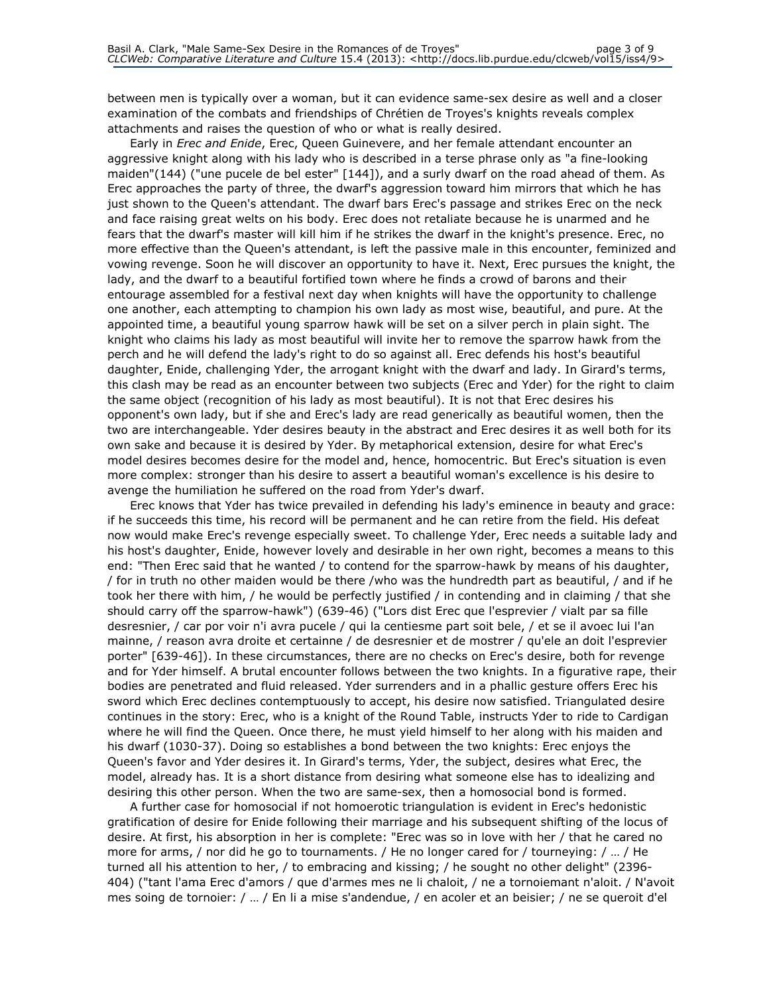between men is typically over a woman, but it can evidence same-sex desire as well and a closer examination of the combats and friendships of Chrétien de Troyes's knights reveals complex attachments and raises the question of who or what is really desired.

Early in *Erec and Enide*, Erec, Queen Guinevere, and her female attendant encounter an aggressive knight along with his lady who is described in a terse phrase only as "a fine-looking maiden"(144) ("une pucele de bel ester" [144]), and a surly dwarf on the road ahead of them. As Erec approaches the party of three, the dwarf's aggression toward him mirrors that which he has just shown to the Queen's attendant. The dwarf bars Erec's passage and strikes Erec on the neck and face raising great welts on his body. Erec does not retaliate because he is unarmed and he fears that the dwarf's master will kill him if he strikes the dwarf in the knight's presence. Erec, no more effective than the Queen's attendant, is left the passive male in this encounter, feminized and vowing revenge. Soon he will discover an opportunity to have it. Next, Erec pursues the knight, the lady, and the dwarf to a beautiful fortified town where he finds a crowd of barons and their entourage assembled for a festival next day when knights will have the opportunity to challenge one another, each attempting to champion his own lady as most wise, beautiful, and pure. At the appointed time, a beautiful young sparrow hawk will be set on a silver perch in plain sight. The knight who claims his lady as most beautiful will invite her to remove the sparrow hawk from the perch and he will defend the lady's right to do so against all. Erec defends his host's beautiful daughter, Enide, challenging Yder, the arrogant knight with the dwarf and lady. In Girard's terms, this clash may be read as an encounter between two subjects (Erec and Yder) for the right to claim the same object (recognition of his lady as most beautiful). It is not that Erec desires his opponent's own lady, but if she and Erec's lady are read generically as beautiful women, then the two are interchangeable. Yder desires beauty in the abstract and Erec desires it as well both for its own sake and because it is desired by Yder. By metaphorical extension, desire for what Erec's model desires becomes desire for the model and, hence, homocentric. But Erec's situation is even more complex: stronger than his desire to assert a beautiful woman's excellence is his desire to avenge the humiliation he suffered on the road from Yder's dwarf.

Erec knows that Yder has twice prevailed in defending his lady's eminence in beauty and grace: if he succeeds this time, his record will be permanent and he can retire from the field. His defeat now would make Erec's revenge especially sweet. To challenge Yder, Erec needs a suitable lady and his host's daughter, Enide, however lovely and desirable in her own right, becomes a means to this end: "Then Erec said that he wanted / to contend for the sparrow-hawk by means of his daughter, / for in truth no other maiden would be there /who was the hundredth part as beautiful, / and if he took her there with him, / he would be perfectly justified / in contending and in claiming / that she should carry off the sparrow-hawk") (639-46) ("Lors dist Erec que l'esprevier / vialt par sa fille desresnier, / car por voir n'i avra pucele / qui la centiesme part soit bele, / et se il avoec lui l'an mainne, / reason avra droite et certainne / de desresnier et de mostrer / qu'ele an doit l'esprevier porter" [639-46]). In these circumstances, there are no checks on Erec's desire, both for revenge and for Yder himself. A brutal encounter follows between the two knights. In a figurative rape, their bodies are penetrated and fluid released. Yder surrenders and in a phallic gesture offers Erec his sword which Erec declines contemptuously to accept, his desire now satisfied. Triangulated desire continues in the story: Erec, who is a knight of the Round Table, instructs Yder to ride to Cardigan where he will find the Queen. Once there, he must yield himself to her along with his maiden and his dwarf (1030-37). Doing so establishes a bond between the two knights: Erec enjoys the Queen's favor and Yder desires it. In Girard's terms, Yder, the subject, desires what Erec, the model, already has. It is a short distance from desiring what someone else has to idealizing and desiring this other person. When the two are same-sex, then a homosocial bond is formed.

A further case for homosocial if not homoerotic triangulation is evident in Erec's hedonistic gratification of desire for Enide following their marriage and his subsequent shifting of the locus of desire. At first, his absorption in her is complete: "Erec was so in love with her / that he cared no more for arms, / nor did he go to tournaments. / He no longer cared for / tourneying: / … / He turned all his attention to her, / to embracing and kissing; / he sought no other delight" (2396- 404) ("tant l'ama Erec d'amors / que d'armes mes ne li chaloit, / ne a tornoiemant n'aloit. / N'avoit mes soing de tornoier: / … / En li a mise s'andendue, / en acoler et an beisier; / ne se queroit d'el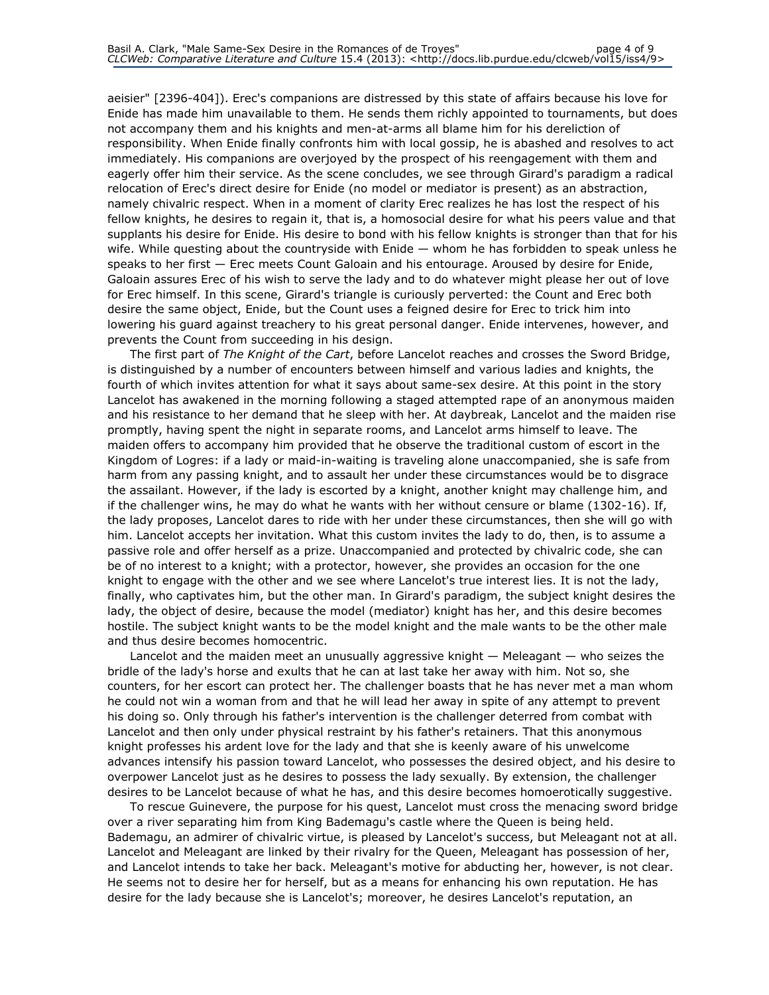aeisier" [2396-404]). Erec's companions are distressed by this state of affairs because his love for Enide has made him unavailable to them. He sends them richly appointed to tournaments, but does not accompany them and his knights and men-at-arms all blame him for his dereliction of responsibility. When Enide finally confronts him with local gossip, he is abashed and resolves to act immediately. His companions are overjoyed by the prospect of his reengagement with them and eagerly offer him their service. As the scene concludes, we see through Girard's paradigm a radical relocation of Erec's direct desire for Enide (no model or mediator is present) as an abstraction, namely chivalric respect. When in a moment of clarity Erec realizes he has lost the respect of his fellow knights, he desires to regain it, that is, a homosocial desire for what his peers value and that supplants his desire for Enide. His desire to bond with his fellow knights is stronger than that for his wife. While questing about the countryside with Enide — whom he has forbidden to speak unless he speaks to her first — Erec meets Count Galoain and his entourage. Aroused by desire for Enide, Galoain assures Erec of his wish to serve the lady and to do whatever might please her out of love for Erec himself. In this scene, Girard's triangle is curiously perverted: the Count and Erec both desire the same object, Enide, but the Count uses a feigned desire for Erec to trick him into lowering his guard against treachery to his great personal danger. Enide intervenes, however, and prevents the Count from succeeding in his design.

The first part of The Knight of the Cart, before Lancelot reaches and crosses the Sword Bridge, is distinguished by a number of encounters between himself and various ladies and knights, the fourth of which invites attention for what it says about same-sex desire. At this point in the story Lancelot has awakened in the morning following a staged attempted rape of an anonymous maiden and his resistance to her demand that he sleep with her. At daybreak, Lancelot and the maiden rise promptly, having spent the night in separate rooms, and Lancelot arms himself to leave. The maiden offers to accompany him provided that he observe the traditional custom of escort in the Kingdom of Logres: if a lady or maid-in-waiting is traveling alone unaccompanied, she is safe from harm from any passing knight, and to assault her under these circumstances would be to disgrace the assailant. However, if the lady is escorted by a knight, another knight may challenge him, and if the challenger wins, he may do what he wants with her without censure or blame (1302-16). If, the lady proposes, Lancelot dares to ride with her under these circumstances, then she will go with him. Lancelot accepts her invitation. What this custom invites the lady to do, then, is to assume a passive role and offer herself as a prize. Unaccompanied and protected by chivalric code, she can be of no interest to a knight; with a protector, however, she provides an occasion for the one knight to engage with the other and we see where Lancelot's true interest lies. It is not the lady, finally, who captivates him, but the other man. In Girard's paradigm, the subject knight desires the lady, the object of desire, because the model (mediator) knight has her, and this desire becomes hostile. The subject knight wants to be the model knight and the male wants to be the other male and thus desire becomes homocentric.

Lancelot and the maiden meet an unusually aggressive knight — Meleagant — who seizes the bridle of the lady's horse and exults that he can at last take her away with him. Not so, she counters, for her escort can protect her. The challenger boasts that he has never met a man whom he could not win a woman from and that he will lead her away in spite of any attempt to prevent his doing so. Only through his father's intervention is the challenger deterred from combat with Lancelot and then only under physical restraint by his father's retainers. That this anonymous knight professes his ardent love for the lady and that she is keenly aware of his unwelcome advances intensify his passion toward Lancelot, who possesses the desired object, and his desire to overpower Lancelot just as he desires to possess the lady sexually. By extension, the challenger desires to be Lancelot because of what he has, and this desire becomes homoerotically suggestive.

To rescue Guinevere, the purpose for his quest, Lancelot must cross the menacing sword bridge over a river separating him from King Bademagu's castle where the Queen is being held. Bademagu, an admirer of chivalric virtue, is pleased by Lancelot's success, but Meleagant not at all. Lancelot and Meleagant are linked by their rivalry for the Queen, Meleagant has possession of her, and Lancelot intends to take her back. Meleagant's motive for abducting her, however, is not clear. He seems not to desire her for herself, but as a means for enhancing his own reputation. He has desire for the lady because she is Lancelot's; moreover, he desires Lancelot's reputation, an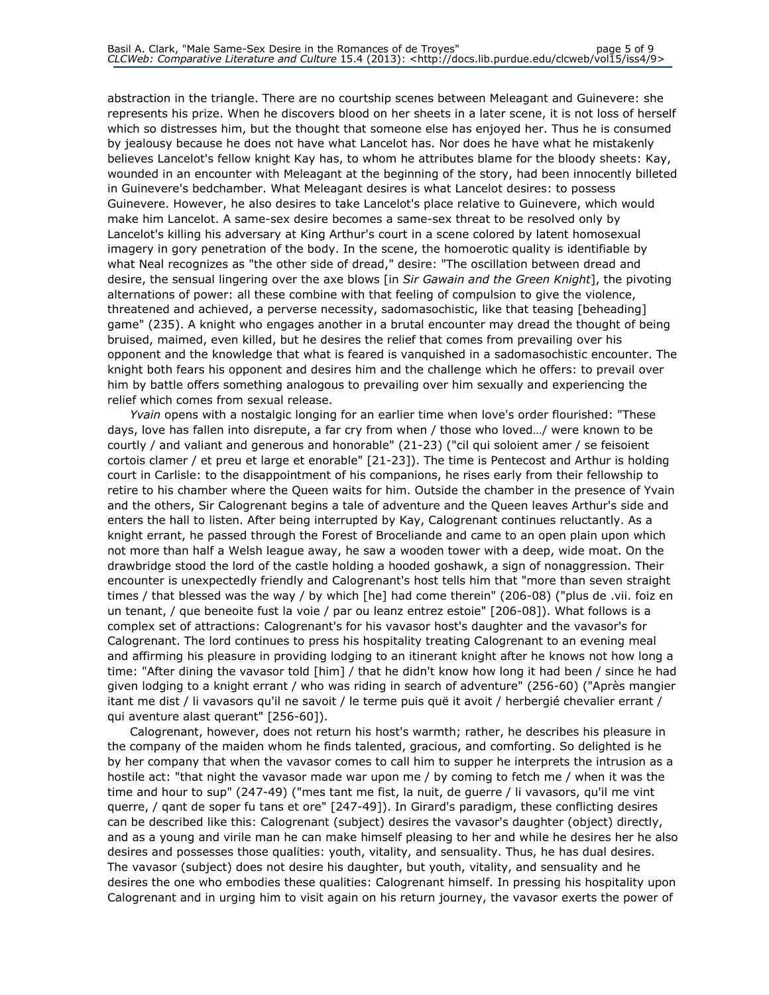abstraction in the triangle. There are no courtship scenes between Meleagant and Guinevere: she represents his prize. When he discovers blood on her sheets in a later scene, it is not loss of herself which so distresses him, but the thought that someone else has enjoyed her. Thus he is consumed by jealousy because he does not have what Lancelot has. Nor does he have what he mistakenly believes Lancelot's fellow knight Kay has, to whom he attributes blame for the bloody sheets: Kay, wounded in an encounter with Meleagant at the beginning of the story, had been innocently billeted in Guinevere's bedchamber. What Meleagant desires is what Lancelot desires: to possess Guinevere. However, he also desires to take Lancelot's place relative to Guinevere, which would make him Lancelot. A same-sex desire becomes a same-sex threat to be resolved only by Lancelot's killing his adversary at King Arthur's court in a scene colored by latent homosexual imagery in gory penetration of the body. In the scene, the homoerotic quality is identifiable by what Neal recognizes as "the other side of dread," desire: "The oscillation between dread and desire, the sensual lingering over the axe blows [in Sir Gawain and the Green Knight], the pivoting alternations of power: all these combine with that feeling of compulsion to give the violence, threatened and achieved, a perverse necessity, sadomasochistic, like that teasing [beheading] game" (235). A knight who engages another in a brutal encounter may dread the thought of being bruised, maimed, even killed, but he desires the relief that comes from prevailing over his opponent and the knowledge that what is feared is vanquished in a sadomasochistic encounter. The knight both fears his opponent and desires him and the challenge which he offers: to prevail over him by battle offers something analogous to prevailing over him sexually and experiencing the relief which comes from sexual release.

Yvain opens with a nostalgic longing for an earlier time when love's order flourished: "These days, love has fallen into disrepute, a far cry from when / those who loved…/ were known to be courtly / and valiant and generous and honorable" (21-23) ("cil qui soloient amer / se feisoient cortois clamer / et preu et large et enorable" [21-23]). The time is Pentecost and Arthur is holding court in Carlisle: to the disappointment of his companions, he rises early from their fellowship to retire to his chamber where the Queen waits for him. Outside the chamber in the presence of Yvain and the others, Sir Calogrenant begins a tale of adventure and the Queen leaves Arthur's side and enters the hall to listen. After being interrupted by Kay, Calogrenant continues reluctantly. As a knight errant, he passed through the Forest of Broceliande and came to an open plain upon which not more than half a Welsh league away, he saw a wooden tower with a deep, wide moat. On the drawbridge stood the lord of the castle holding a hooded goshawk, a sign of nonaggression. Their encounter is unexpectedly friendly and Calogrenant's host tells him that "more than seven straight times / that blessed was the way / by which [he] had come therein" (206-08) ("plus de .vii. foiz en un tenant, / que beneoite fust la voie / par ou leanz entrez estoie" [206-08]). What follows is a complex set of attractions: Calogrenant's for his vavasor host's daughter and the vavasor's for Calogrenant. The lord continues to press his hospitality treating Calogrenant to an evening meal and affirming his pleasure in providing lodging to an itinerant knight after he knows not how long a time: "After dining the vavasor told [him] / that he didn't know how long it had been / since he had given lodging to a knight errant / who was riding in search of adventure" (256-60) ("Après mangier itant me dist / li vavasors qu'il ne savoit / le terme puis quë it avoit / herbergié chevalier errant / qui aventure alast querant" [256-60]).

Calogrenant, however, does not return his host's warmth; rather, he describes his pleasure in the company of the maiden whom he finds talented, gracious, and comforting. So delighted is he by her company that when the vavasor comes to call him to supper he interprets the intrusion as a hostile act: "that night the vavasor made war upon me / by coming to fetch me / when it was the time and hour to sup" (247-49) ("mes tant me fist, la nuit, de guerre / li vavasors, qu'il me vint querre, / qant de soper fu tans et ore" [247-49]). In Girard's paradigm, these conflicting desires can be described like this: Calogrenant (subject) desires the vavasor's daughter (object) directly, and as a young and virile man he can make himself pleasing to her and while he desires her he also desires and possesses those qualities: youth, vitality, and sensuality. Thus, he has dual desires. The vavasor (subject) does not desire his daughter, but youth, vitality, and sensuality and he desires the one who embodies these qualities: Calogrenant himself. In pressing his hospitality upon Calogrenant and in urging him to visit again on his return journey, the vavasor exerts the power of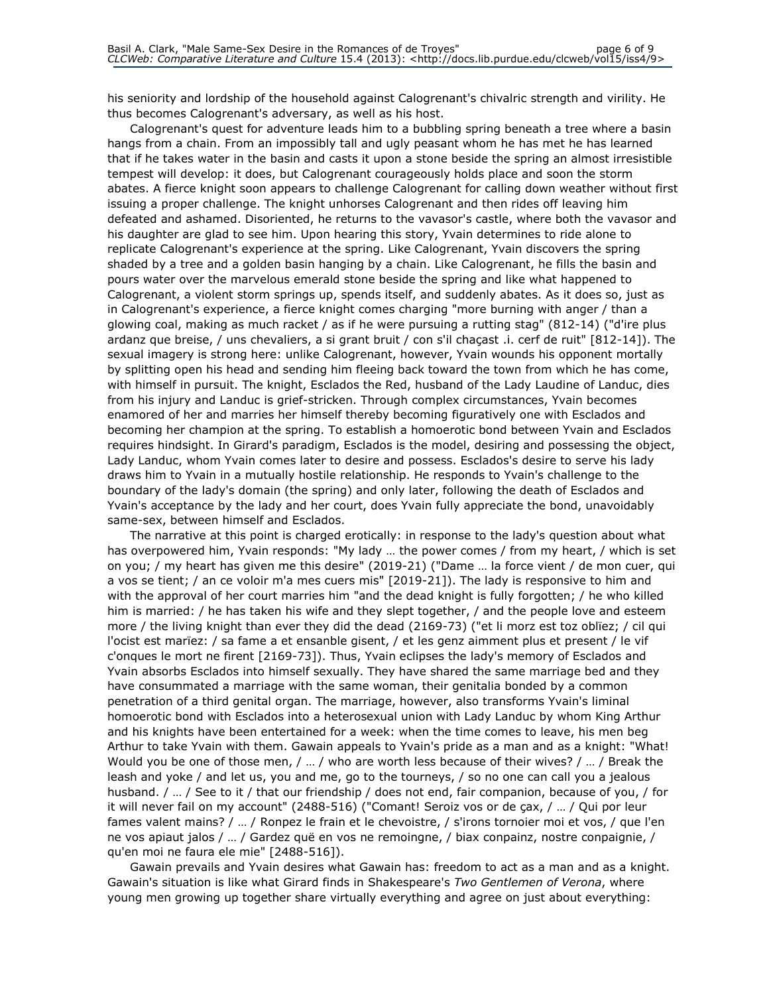his seniority and lordship of the household against Calogrenant's chivalric strength and virility. He thus becomes Calogrenant's adversary, as well as his host.

Calogrenant's quest for adventure leads him to a bubbling spring beneath a tree where a basin hangs from a chain. From an impossibly tall and ugly peasant whom he has met he has learned that if he takes water in the basin and casts it upon a stone beside the spring an almost irresistible tempest will develop: it does, but Calogrenant courageously holds place and soon the storm abates. A fierce knight soon appears to challenge Calogrenant for calling down weather without first issuing a proper challenge. The knight unhorses Calogrenant and then rides off leaving him defeated and ashamed. Disoriented, he returns to the vavasor's castle, where both the vavasor and his daughter are glad to see him. Upon hearing this story, Yvain determines to ride alone to replicate Calogrenant's experience at the spring. Like Calogrenant, Yvain discovers the spring shaded by a tree and a golden basin hanging by a chain. Like Calogrenant, he fills the basin and pours water over the marvelous emerald stone beside the spring and like what happened to Calogrenant, a violent storm springs up, spends itself, and suddenly abates. As it does so, just as in Calogrenant's experience, a fierce knight comes charging "more burning with anger / than a glowing coal, making as much racket / as if he were pursuing a rutting stag" (812-14) ("d'ire plus ardanz que breise, / uns chevaliers, a si grant bruit / con s'il chaçast .i. cerf de ruit" [812-14]). The sexual imagery is strong here: unlike Calogrenant, however, Yvain wounds his opponent mortally by splitting open his head and sending him fleeing back toward the town from which he has come, with himself in pursuit. The knight, Esclados the Red, husband of the Lady Laudine of Landuc, dies from his injury and Landuc is grief-stricken. Through complex circumstances, Yvain becomes enamored of her and marries her himself thereby becoming figuratively one with Esclados and becoming her champion at the spring. To establish a homoerotic bond between Yvain and Esclados requires hindsight. In Girard's paradigm, Esclados is the model, desiring and possessing the object, Lady Landuc, whom Yvain comes later to desire and possess. Esclados's desire to serve his lady draws him to Yvain in a mutually hostile relationship. He responds to Yvain's challenge to the boundary of the lady's domain (the spring) and only later, following the death of Esclados and Yvain's acceptance by the lady and her court, does Yvain fully appreciate the bond, unavoidably same-sex, between himself and Esclados.

The narrative at this point is charged erotically: in response to the lady's question about what has overpowered him, Yvain responds: "My lady … the power comes / from my heart, / which is set on you; / my heart has given me this desire" (2019-21) ("Dame … la force vient / de mon cuer, qui a vos se tient; / an ce voloir m'a mes cuers mis" [2019-21]). The lady is responsive to him and with the approval of her court marries him "and the dead knight is fully forgotten; / he who killed him is married: / he has taken his wife and they slept together, / and the people love and esteem more / the living knight than ever they did the dead (2169-73) ("et li morz est toz oblïez; / cil qui l'ocist est marïez: / sa fame a et ensanble gisent, / et les genz aimment plus et present / le vif c'onques le mort ne firent [2169-73]). Thus, Yvain eclipses the lady's memory of Esclados and Yvain absorbs Esclados into himself sexually. They have shared the same marriage bed and they have consummated a marriage with the same woman, their genitalia bonded by a common penetration of a third genital organ. The marriage, however, also transforms Yvain's liminal homoerotic bond with Esclados into a heterosexual union with Lady Landuc by whom King Arthur and his knights have been entertained for a week: when the time comes to leave, his men beg Arthur to take Yvain with them. Gawain appeals to Yvain's pride as a man and as a knight: "What! Would you be one of those men, / … / who are worth less because of their wives? / … / Break the leash and yoke / and let us, you and me, go to the tourneys, / so no one can call you a jealous husband. / … / See to it / that our friendship / does not end, fair companion, because of you, / for it will never fail on my account" (2488-516) ("Comant! Seroiz vos or de çax, / … / Qui por leur fames valent mains? / … / Ronpez le frain et le chevoistre, / s'irons tornoier moi et vos, / que l'en ne vos apiaut jalos / … / Gardez quë en vos ne remoingne, / biax conpainz, nostre conpaignie, / qu'en moi ne faura ele mie" [2488-516]).

Gawain prevails and Yvain desires what Gawain has: freedom to act as a man and as a knight. Gawain's situation is like what Girard finds in Shakespeare's Two Gentlemen of Verona, where young men growing up together share virtually everything and agree on just about everything: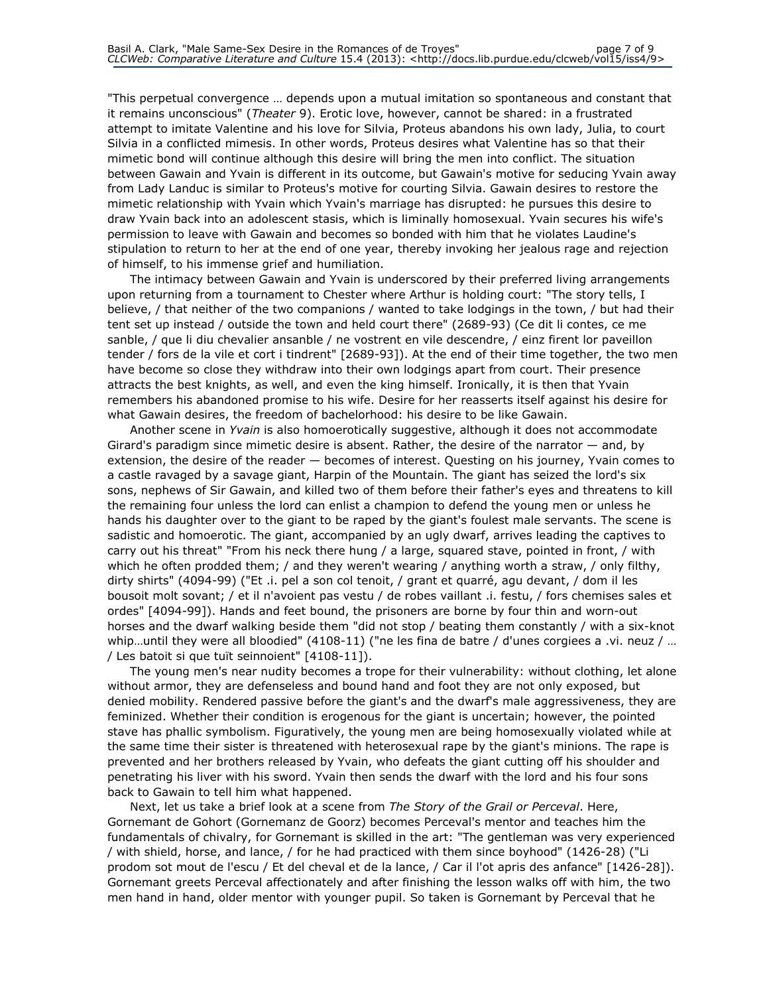"This perpetual convergence … depends upon a mutual imitation so spontaneous and constant that it remains unconscious" (Theater 9). Erotic love, however, cannot be shared: in a frustrated attempt to imitate Valentine and his love for Silvia, Proteus abandons his own lady, Julia, to court Silvia in a conflicted mimesis. In other words, Proteus desires what Valentine has so that their mimetic bond will continue although this desire will bring the men into conflict. The situation between Gawain and Yvain is different in its outcome, but Gawain's motive for seducing Yvain away from Lady Landuc is similar to Proteus's motive for courting Silvia. Gawain desires to restore the mimetic relationship with Yvain which Yvain's marriage has disrupted: he pursues this desire to draw Yvain back into an adolescent stasis, which is liminally homosexual. Yvain secures his wife's permission to leave with Gawain and becomes so bonded with him that he violates Laudine's stipulation to return to her at the end of one year, thereby invoking her jealous rage and rejection of himself, to his immense grief and humiliation.

The intimacy between Gawain and Yvain is underscored by their preferred living arrangements upon returning from a tournament to Chester where Arthur is holding court: "The story tells, I believe, / that neither of the two companions / wanted to take lodgings in the town, / but had their tent set up instead / outside the town and held court there" (2689-93) (Ce dit li contes, ce me sanble, / que li diu chevalier ansanble / ne vostrent en vile descendre, / einz firent lor paveillon tender / fors de la vile et cort i tindrent" [2689-93]). At the end of their time together, the two men have become so close they withdraw into their own lodgings apart from court. Their presence attracts the best knights, as well, and even the king himself. Ironically, it is then that Yvain remembers his abandoned promise to his wife. Desire for her reasserts itself against his desire for what Gawain desires, the freedom of bachelorhood: his desire to be like Gawain.

Another scene in Yvain is also homoerotically suggestive, although it does not accommodate Girard's paradigm since mimetic desire is absent. Rather, the desire of the narrator  $-$  and, by extension, the desire of the reader — becomes of interest. Questing on his journey, Yvain comes to a castle ravaged by a savage giant, Harpin of the Mountain. The giant has seized the lord's six sons, nephews of Sir Gawain, and killed two of them before their father's eyes and threatens to kill the remaining four unless the lord can enlist a champion to defend the young men or unless he hands his daughter over to the giant to be raped by the giant's foulest male servants. The scene is sadistic and homoerotic. The giant, accompanied by an ugly dwarf, arrives leading the captives to carry out his threat" "From his neck there hung / a large, squared stave, pointed in front, / with which he often prodded them; / and they weren't wearing / anything worth a straw, / only filthy, dirty shirts" (4094-99) ("Et .i. pel a son col tenoit, / grant et quarré, agu devant, / dom il les bousoit molt sovant; / et il n'avoient pas vestu / de robes vaillant .i. festu, / fors chemises sales et ordes" [4094-99]). Hands and feet bound, the prisoners are borne by four thin and worn-out horses and the dwarf walking beside them "did not stop / beating them constantly / with a six-knot whip…until they were all bloodied" (4108-11) ("ne les fina de batre / d'unes corgiees a .vi. neuz / … / Les batoit si que tuït seinnoient" [4108-11]).

The young men's near nudity becomes a trope for their vulnerability: without clothing, let alone without armor, they are defenseless and bound hand and foot they are not only exposed, but denied mobility. Rendered passive before the giant's and the dwarf's male aggressiveness, they are feminized. Whether their condition is erogenous for the giant is uncertain; however, the pointed stave has phallic symbolism. Figuratively, the young men are being homosexually violated while at the same time their sister is threatened with heterosexual rape by the giant's minions. The rape is prevented and her brothers released by Yvain, who defeats the giant cutting off his shoulder and penetrating his liver with his sword. Yvain then sends the dwarf with the lord and his four sons back to Gawain to tell him what happened.

Next, let us take a brief look at a scene from The Story of the Grail or Perceval. Here, Gornemant de Gohort (Gornemanz de Goorz) becomes Perceval's mentor and teaches him the fundamentals of chivalry, for Gornemant is skilled in the art: "The gentleman was very experienced / with shield, horse, and lance, / for he had practiced with them since boyhood" (1426-28) ("Li prodom sot mout de l'escu / Et del cheval et de la lance, / Car il l'ot apris des anfance" [1426-28]). Gornemant greets Perceval affectionately and after finishing the lesson walks off with him, the two men hand in hand, older mentor with younger pupil. So taken is Gornemant by Perceval that he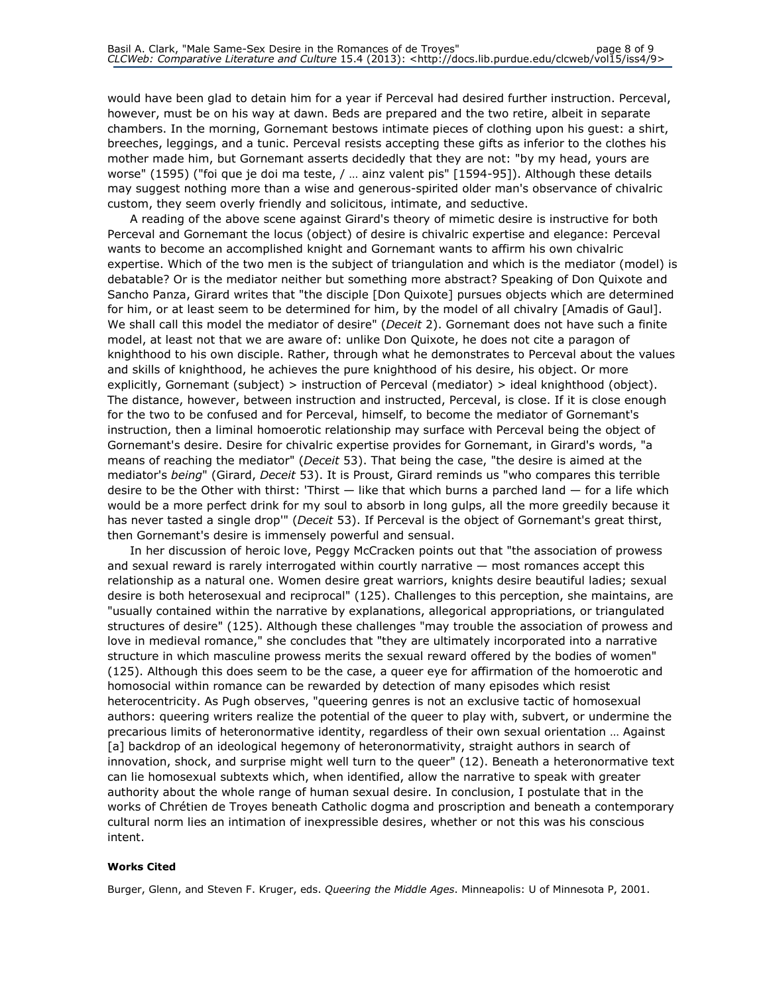would have been glad to detain him for a year if Perceval had desired further instruction. Perceval, however, must be on his way at dawn. Beds are prepared and the two retire, albeit in separate chambers. In the morning, Gornemant bestows intimate pieces of clothing upon his guest: a shirt, breeches, leggings, and a tunic. Perceval resists accepting these gifts as inferior to the clothes his mother made him, but Gornemant asserts decidedly that they are not: "by my head, yours are worse" (1595) ("foi que je doi ma teste, / … ainz valent pis" [1594-95]). Although these details may suggest nothing more than a wise and generous-spirited older man's observance of chivalric custom, they seem overly friendly and solicitous, intimate, and seductive.

A reading of the above scene against Girard's theory of mimetic desire is instructive for both Perceval and Gornemant the locus (object) of desire is chivalric expertise and elegance: Perceval wants to become an accomplished knight and Gornemant wants to affirm his own chivalric expertise. Which of the two men is the subject of triangulation and which is the mediator (model) is debatable? Or is the mediator neither but something more abstract? Speaking of Don Quixote and Sancho Panza, Girard writes that "the disciple [Don Quixote] pursues objects which are determined for him, or at least seem to be determined for him, by the model of all chivalry [Amadis of Gaul]. We shall call this model the mediator of desire" (Deceit 2). Gornemant does not have such a finite model, at least not that we are aware of: unlike Don Quixote, he does not cite a paragon of knighthood to his own disciple. Rather, through what he demonstrates to Perceval about the values and skills of knighthood, he achieves the pure knighthood of his desire, his object. Or more explicitly, Gornemant (subject) > instruction of Perceval (mediator) > ideal knighthood (object). The distance, however, between instruction and instructed, Perceval, is close. If it is close enough for the two to be confused and for Perceval, himself, to become the mediator of Gornemant's instruction, then a liminal homoerotic relationship may surface with Perceval being the object of Gornemant's desire. Desire for chivalric expertise provides for Gornemant, in Girard's words, "a means of reaching the mediator" (*Deceit* 53). That being the case, "the desire is aimed at the mediator's being" (Girard, Deceit 53). It is Proust, Girard reminds us "who compares this terrible desire to be the Other with thirst: 'Thirst  $-$  like that which burns a parched land  $-$  for a life which would be a more perfect drink for my soul to absorb in long gulps, all the more greedily because it has never tasted a single drop" (Deceit 53). If Perceval is the object of Gornemant's great thirst, then Gornemant's desire is immensely powerful and sensual.

In her discussion of heroic love, Peggy McCracken points out that "the association of prowess and sexual reward is rarely interrogated within courtly narrative — most romances accept this relationship as a natural one. Women desire great warriors, knights desire beautiful ladies; sexual desire is both heterosexual and reciprocal" (125). Challenges to this perception, she maintains, are "usually contained within the narrative by explanations, allegorical appropriations, or triangulated structures of desire" (125). Although these challenges "may trouble the association of prowess and love in medieval romance," she concludes that "they are ultimately incorporated into a narrative structure in which masculine prowess merits the sexual reward offered by the bodies of women" (125). Although this does seem to be the case, a queer eye for affirmation of the homoerotic and homosocial within romance can be rewarded by detection of many episodes which resist heterocentricity. As Pugh observes, "queering genres is not an exclusive tactic of homosexual authors: queering writers realize the potential of the queer to play with, subvert, or undermine the precarious limits of heteronormative identity, regardless of their own sexual orientation … Against [a] backdrop of an ideological hegemony of heteronormativity, straight authors in search of innovation, shock, and surprise might well turn to the queer" (12). Beneath a heteronormative text can lie homosexual subtexts which, when identified, allow the narrative to speak with greater authority about the whole range of human sexual desire. In conclusion, I postulate that in the works of Chrétien de Troyes beneath Catholic dogma and proscription and beneath a contemporary cultural norm lies an intimation of inexpressible desires, whether or not this was his conscious intent.

#### Works Cited

Burger, Glenn, and Steven F. Kruger, eds. Queering the Middle Ages. Minneapolis: U of Minnesota P, 2001.